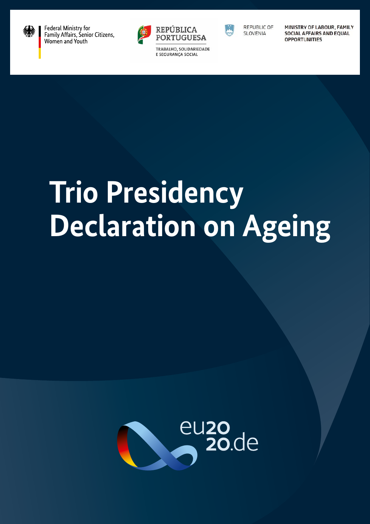

Federal Ministry for Family Affairs, Senior Citizens, Women and Youth



TRABALHO, SOLIDARIEDADE E SEGURANÇA SOCIAL



REPUBLIC OF **SLOVENIA** 

MINISTRY OF LABOUR, FAMILY **SOCIAL AFFAIRS AND EQUAL OPPORTUNITIES** 

# **Trio Presidency Declaration on Ageing**

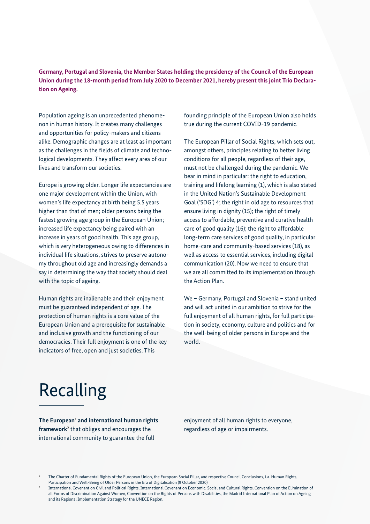**Germany, Portugal and Slovenia, the Member States holding the presidency of the Council of the European Union during the 18-month period from July 2020 to December 2021, hereby present this joint Trio Declaration on Ageing.**

Population ageing is an unprecedented phenomenon in human history. It creates many challenges and opportunities for policy-makers and citizens alike. Demographic changes are at least as important as the challenges in the fields of climate and technological developments. They affect every area of our lives and transform our societies.

Europe is growing older. Longer life expectancies are one major development within the Union, with women's life expectancy at birth being 5.5 years higher than that of men; older persons being the fastest growing age group in the European Union; increased life expectancy being paired with an increase in years of good health. This age group, which is very heterogeneous owing to differences in individual life situations, strives to preserve autonomy throughout old age and increasingly demands a say in determining the way that society should deal with the topic of ageing.

Human rights are inalienable and their enjoyment must be guaranteed independent of age. The protection of human rights is a core value of the European Union and a prerequisite for sustainable and inclusive growth and the functioning of our democracies. Their full enjoyment is one of the key indicators of free, open and just societies. This

founding principle of the European Union also holds true during the current COVID-19 pandemic.

The European Pillar of Social Rights, which sets out, amongst others, principles relating to better living conditions for all people, regardless of their age, must not be challenged during the pandemic. We bear in mind in particular: the right to education, training and lifelong learning (1), which is also stated in the United Nation's Sustainable Development Goal ('SDG') 4; the right in old age to resources that ensure living in dignity (15); the right of timely access to affordable, preventive and curative health care of good quality (16); the right to affordable long-term care services of good quality, in particular home-care and community-based services (18), as well as access to essential services, including digital communication (20). Now we need to ensure that we are all committed to its implementation through the Action Plan.

We – Germany, Portugal and Slovenia – stand united and will act united in our ambition to strive for the full enjoyment of all human rights, for full participation in society, economy, culture and politics and for the well-being of older persons in Europe and the world.

## Recalling

**The European**<sup>1</sup>  **and international human rights framework**<sup>2</sup> that obliges and encourages the international community to guarantee the full

enjoyment of all human rights to everyone, regardless of age or impairments.

<sup>1</sup> The Charter of Fundamental Rights of the European Union, the European Social Pillar, and respective Council Conclusions, i.a. Human Rights, Participation and Well-Being of Older Persons in the Era of Digitalisation (9 October 2020)

<sup>2</sup> International Covenant on Civil and Political Rights, International Covenant on Economic, Social and Cultural Rights, Convention on the Elimination of all Forms of Discrimination Against Women, Convention on the Rights of Persons with Disabilities, the Madrid International Plan of Action on Ageing and its Regional Implementation Strategy for the UNECE Region.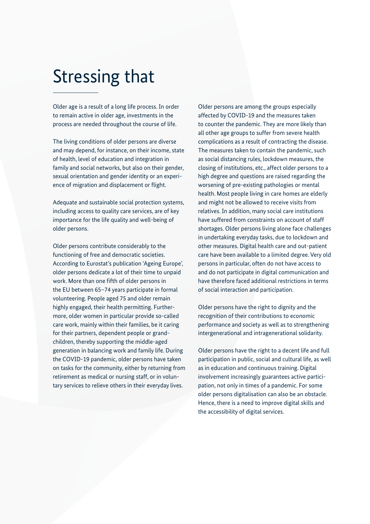### Stressing that

Older age is a result of a long life process. In order to remain active in older age, investments in the process are needed throughout the course of life.

The living conditions of older persons are diverse and may depend, for instance, on their income, state of health, level of education and integration in family and social networks, but also on their gender, sexual orientation and gender identity or an experience of migration and displacement or flight.

Adequate and sustainable social protection systems, including access to quality care services, are of key importance for the life quality and well-being of older persons.

Older persons contribute considerably to the functioning of free and democratic societies. According to Eurostat's publication 'Ageing Europe', older persons dedicate a lot of their time to unpaid work. More than one fifth of older persons in the EU between 65–74 years participate in formal volunteering. People aged 75 and older remain highly engaged, their health permitting. Furthermore, older women in particular provide so-called care work, mainly within their families, be it caring for their partners, dependent people or grandchildren, thereby supporting the middle-aged generation in balancing work and family life. During the COVID-19 pandemic, older persons have taken on tasks for the community, either by returning from retirement as medical or nursing staff, or in voluntary services to relieve others in their everyday lives.

Older persons are among the groups especially affected by COVID-19 and the measures taken to counter the pandemic. They are more likely than all other age groups to suffer from severe health complications as a result of contracting the disease. The measures taken to contain the pandemic, such as social distancing rules, lockdown measures, the closing of institutions, etc., affect older persons to a high degree and questions are raised regarding the worsening of pre-existing pathologies or mental health. Most people living in care homes are elderly and might not be allowed to receive visits from relatives. In addition, many social care institutions have suffered from constraints on account of staff shortages. Older persons living alone face challenges in undertaking everyday tasks, due to lockdown and other measures. Digital health care and out-patient care have been available to a limited degree. Very old persons in particular, often do not have access to and do not participate in digital communication and have therefore faced additional restrictions in terms of social interaction and participation.

Older persons have the right to dignity and the recognition of their contributions to economic performance and society as well as to strengthening intergenerational and intragenerational solidarity.

Older persons have the right to a decent life and full participation in public, social and cultural life, as well as in education and continuous training. Digital involvement increasingly guarantees active participation, not only in times of a pandemic. For some older persons digitalisation can also be an obstacle. Hence, there is a need to improve digital skills and the accessibility of digital services.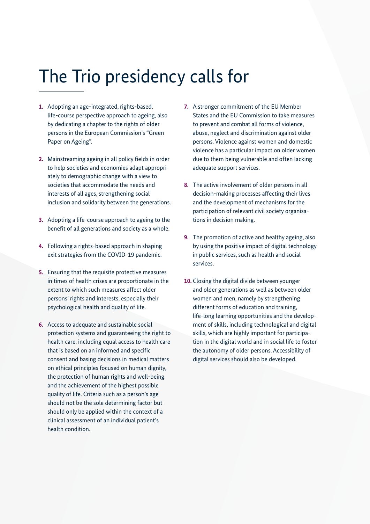### The Trio presidency calls for

- **1.** Adopting an age-integrated, rights-based, life-course perspective approach to ageing, also by dedicating a chapter to the rights of older persons in the European Commission's "Green Paper on Ageing".
- **2.** Mainstreaming ageing in all policy fields in order to help societies and economies adapt appropriately to demographic change with a view to societies that accommodate the needs and interests of all ages, strengthening social inclusion and solidarity between the generations.
- **3.** Adopting a life-course approach to ageing to the benefit of all generations and society as a whole.
- **4.** Following a rights-based approach in shaping exit strategies from the COVID-19 pandemic.
- **5.** Ensuring that the requisite protective measures in times of health crises are proportionate in the extent to which such measures affect older persons' rights and interests, especially their psychological health and quality of life.
- **6.** Access to adequate and sustainable social protection systems and guaranteeing the right to health care, including equal access to health care that is based on an informed and specific consent and basing decisions in medical matters on ethical principles focused on human dignity, the protection of human rights and well-being and the achievement of the highest possible quality of life. Criteria such as a person's age should not be the sole determining factor but should only be applied within the context of a clinical assessment of an individual patient's health condition.
- **7.** A stronger commitment of the EU Member States and the EU Commission to take measures to prevent and combat all forms of violence, abuse, neglect and discrimination against older persons. Violence against women and domestic violence has a particular impact on older women due to them being vulnerable and often lacking adequate support services.
- **8.** The active involvement of older persons in all decision-making processes affecting their lives and the development of mechanisms for the participation of relevant civil society organisations in decision making.
- **9.** The promotion of active and healthy ageing, also by using the positive impact of digital technology in public services, such as health and social services.
- **10.** Closing the digital divide between younger and older generations as well as between older women and men, namely by strengthening different forms of education and training, life-long learning opportunities and the development of skills, including technological and digital skills, which are highly important for participation in the digital world and in social life to foster the autonomy of older persons. Accessibility of digital services should also be developed.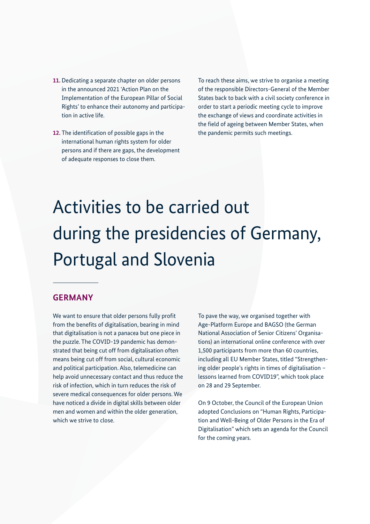- **11.** Dedicating a separate chapter on older persons in the announced 2021 'Action Plan on the Implementation of the European Pillar of Social Rights' to enhance their autonomy and participation in active life.
- **12.** The identification of possible gaps in the international human rights system for older persons and if there are gaps, the development of adequate responses to close them.

To reach these aims, we strive to organise a meeting of the responsible Directors-General of the Member States back to back with a civil society conference in order to start a periodic meeting cycle to improve the exchange of views and coordinate activities in the field of ageing between Member States, when the pandemic permits such meetings.

# Activities to be carried out during the presidencies of Germany, Portugal and Slovenia

#### **GERMANY**

We want to ensure that older persons fully profit from the benefits of digitalisation, bearing in mind that digitalisation is not a panacea but one piece in the puzzle. The COVID-19 pandemic has demonstrated that being cut off from digitalisation often means being cut off from social, cultural economic and political participation. Also, telemedicine can help avoid unnecessary contact and thus reduce the risk of infection, which in turn reduces the risk of severe medical consequences for older persons. We have noticed a divide in digital skills between older men and women and within the older generation, which we strive to close.

To pave the way, we organised together with Age-Platform Europe and BAGSO (the German National Association of Senior Citizens' Organisations) an international online conference with over 1,500 participants from more than 60 countries, including all EU Member States, titled "Strengthening older people's rights in times of digitalisation – lessons learned from COVID19", which took place on 28 and 29 September.

On 9 October, the Council of the European Union adopted Conclusions on "Human Rights, Participation and Well-Being of Older Persons in the Era of Digitalisation" which sets an agenda for the Council for the coming years.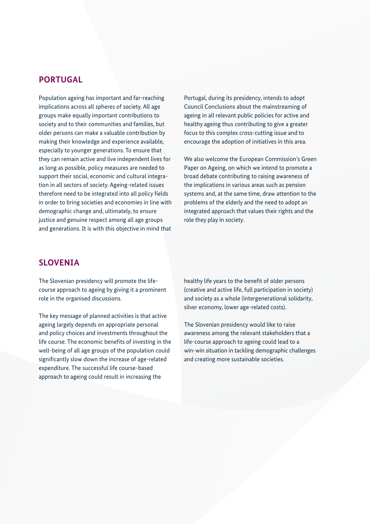#### **PORTUGAL**

Population ageing has important and far-reaching implications across all spheres of society. All age groups make equally important contributions to society and to their communities and families, but older persons can make a valuable contribution by making their knowledge and experience available, especially to younger generations. To ensure that they can remain active and live independent lives for as long as possible, policy measures are needed to support their social, economic and cultural integration in all sectors of society. Ageing-related issues therefore need to be integrated into all policy fields in order to bring societies and economies in line with demographic change and, ultimately, to ensure justice and genuine respect among all age groups and generations. It is with this objective in mind that

Portugal, during its presidency, intends to adopt Council Conclusions about the mainstreaming of ageing in all relevant public policies for active and healthy ageing thus contributing to give a greater focus to this complex cross-cutting issue and to encourage the adoption of initiatives in this area.

We also welcome the European Commission's Green Paper on Ageing, on which we intend to promote a broad debate contributing to raising awareness of the implications in various areas such as pension systems and, at the same time, draw attention to the problems of the elderly and the need to adopt an integrated approach that values their rights and the role they play in society.

#### **SLOVENIA**

The Slovenian presidency will promote the lifecourse approach to ageing by giving it a prominent role in the organised discussions.

The key message of planned activities is that active ageing largely depends on appropriate personal and policy choices and investments throughout the life course. The economic benefits of investing in the well-being of all age groups of the population could significantly slow down the increase of age-related expenditure. The successful life course-based approach to ageing could result in increasing the

healthy life years to the benefit of older persons (creative and active life, full participation in society) and society as a whole (intergenerational solidarity, silver economy, lower age-related costs).

The Slovenian presidency would like to raise awareness among the relevant stakeholders that a life-course approach to ageing could lead to a win-win situation in tackling demographic challenges and creating more sustainable societies.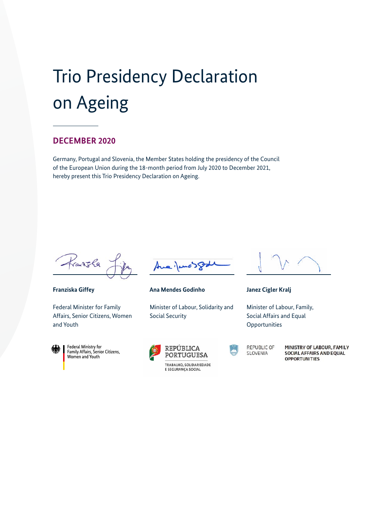# Trio Presidency Declaration on Ageing

#### **DECEMBER 2020**

Germany, Portugal and Slovenia, the Member States holding the presidency of the Council of the European Union during the 18-month period from July 2020 to December 2021, hereby present this Trio Presidency Declaration on Ageing.

Franksla

**Franziska Giffey**

Federal Minister for Family Affairs, Senior Citizens, Women and Youth



Federal Ministry for<br>Family Affairs, Senior Citizens, Women and Youth



**Ana Mendes Godinho** 

Minister of Labour, Solidarity and Social Security





**REPUBLIC OF SLOVENIA** 

MINISTRY OF LABOUR, FAMILY **SOCIAL AFFAIRS AND EQUAL OPPORTUNITIES** 



**Janez Cigler Kralj**

Minister of Labour, Family, Social Affairs and Equal **Opportunities**